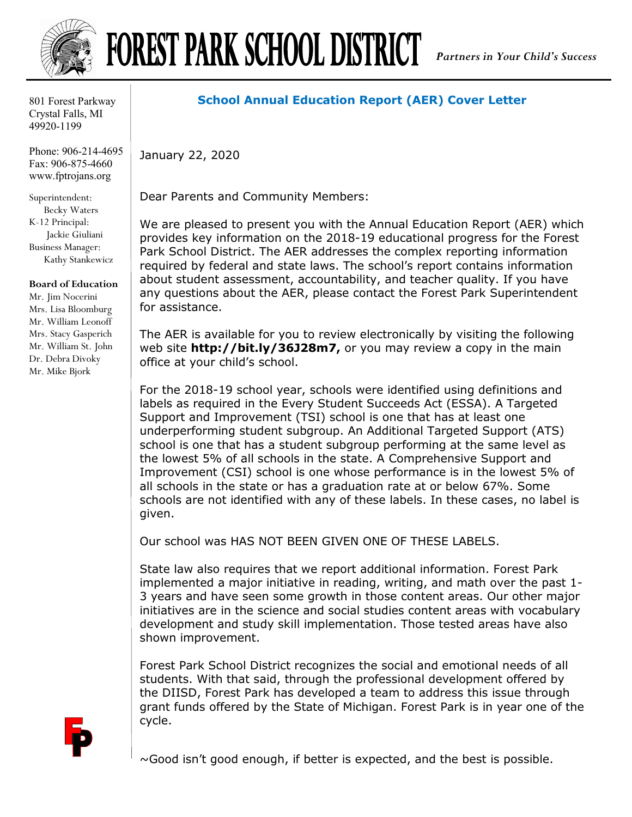

## FOREST PARK SCHOOL DISTRICT

801 Forest Parkway Crystal Falls, MI 49920-1199

Phone: 906-214-4695 Fax: 906-875-4660 www.fptrojans.org

Superintendent: Becky Waters K-12 Principal: Jackie Giuliani Business Manager: Kathy Stankewicz

## **Board of Education**

Mr. Jim Nocerini Mrs. Lisa Bloomburg Mr. William Leonoff Mrs. Stacy Gasperich Mr. William St. John Dr. Debra Divoky Mr. Mike Bjork

## **School Annual Education Report (AER) Cover Letter**

January 22, 2020

Dear Parents and Community Members:

We are pleased to present you with the Annual Education Report (AER) which provides key information on the 2018-19 educational progress for the Forest Park School District. The AER addresses the complex reporting information required by federal and state laws. The school's report contains information about student assessment, accountability, and teacher quality. If you have any questions about the AER, please contact the Forest Park Superintendent for assistance.

The AER is available for you to review electronically by visiting the following web site **http://bit.ly/36J28m7,** or you may review a copy in the main office at your child's school.

For the 2018-19 school year, schools were identified using definitions and labels as required in the Every Student Succeeds Act (ESSA). A Targeted Support and Improvement (TSI) school is one that has at least one underperforming student subgroup. An Additional Targeted Support (ATS) school is one that has a student subgroup performing at the same level as the lowest 5% of all schools in the state. A Comprehensive Support and Improvement (CSI) school is one whose performance is in the lowest 5% of all schools in the state or has a graduation rate at or below 67%. Some schools are not identified with any of these labels. In these cases, no label is given.

Our school was HAS NOT BEEN GIVEN ONE OF THESE LABELS.

State law also requires that we report additional information. Forest Park implemented a major initiative in reading, writing, and math over the past 1- 3 years and have seen some growth in those content areas. Our other major initiatives are in the science and social studies content areas with vocabulary development and study skill implementation. Those tested areas have also shown improvement.

Forest Park School District recognizes the social and emotional needs of all students. With that said, through the professional development offered by the DIISD, Forest Park has developed a team to address this issue through grant funds offered by the State of Michigan. Forest Park is in year one of the cycle.

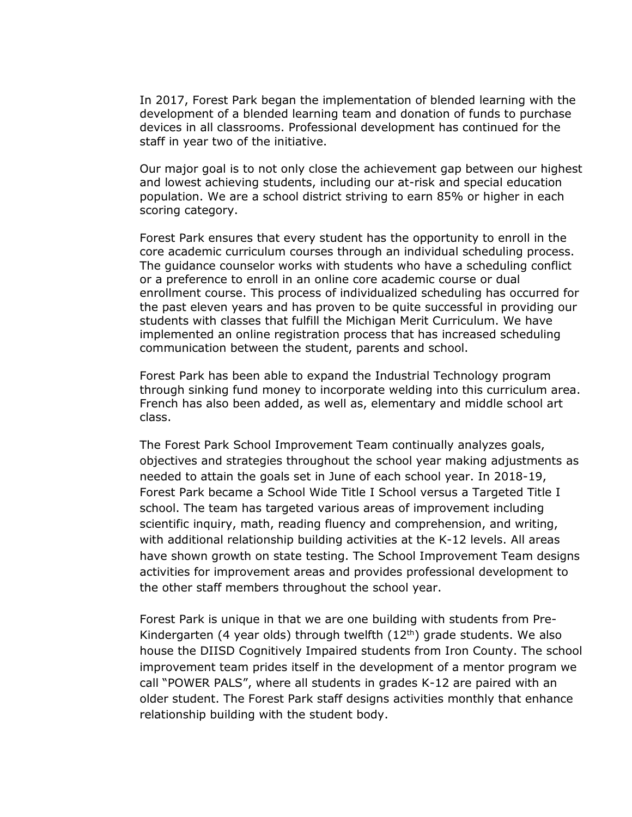In 2017, Forest Park began the implementation of blended learning with the development of a blended learning team and donation of funds to purchase devices in all classrooms. Professional development has continued for the staff in year two of the initiative.

Our major goal is to not only close the achievement gap between our highest and lowest achieving students, including our at-risk and special education population. We are a school district striving to earn 85% or higher in each scoring category.

Forest Park ensures that every student has the opportunity to enroll in the core academic curriculum courses through an individual scheduling process. The guidance counselor works with students who have a scheduling conflict or a preference to enroll in an online core academic course or dual enrollment course. This process of individualized scheduling has occurred for the past eleven years and has proven to be quite successful in providing our students with classes that fulfill the Michigan Merit Curriculum. We have implemented an online registration process that has increased scheduling communication between the student, parents and school.

Forest Park has been able to expand the Industrial Technology program through sinking fund money to incorporate welding into this curriculum area. French has also been added, as well as, elementary and middle school art class.

The Forest Park School Improvement Team continually analyzes goals, objectives and strategies throughout the school year making adjustments as needed to attain the goals set in June of each school year. In 2018-19, Forest Park became a School Wide Title I School versus a Targeted Title I school. The team has targeted various areas of improvement including scientific inquiry, math, reading fluency and comprehension, and writing, with additional relationship building activities at the K-12 levels. All areas have shown growth on state testing. The School Improvement Team designs activities for improvement areas and provides professional development to the other staff members throughout the school year.

Forest Park is unique in that we are one building with students from Pre-Kindergarten (4 year olds) through twelfth  $(12<sup>th</sup>)$  grade students. We also house the DIISD Cognitively Impaired students from Iron County. The school improvement team prides itself in the development of a mentor program we call "POWER PALS", where all students in grades K-12 are paired with an older student. The Forest Park staff designs activities monthly that enhance relationship building with the student body.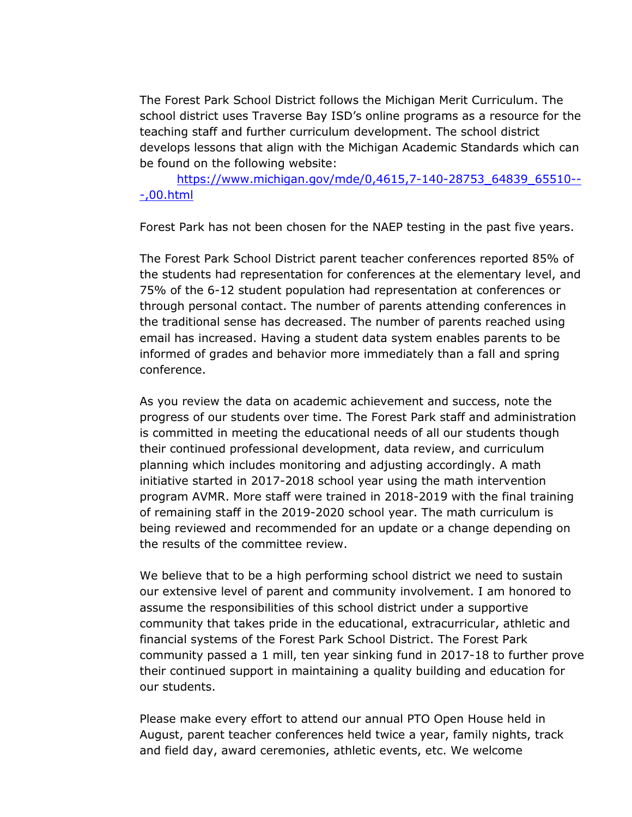The Forest Park School District follows the Michigan Merit Curriculum. The school district uses Traverse Bay ISD's online programs as a resource for the teaching staff and further curriculum development. The school district develops lessons that align with the Michigan Academic Standards which can be found on the following website:

[https://www.michigan.gov/mde/0,4615,7-140-28753\\_64839\\_65510--](https://www.michigan.gov/mde/0,4615,7-140-28753_64839_65510---,00.html) [-,00.html](https://www.michigan.gov/mde/0,4615,7-140-28753_64839_65510---,00.html)

Forest Park has not been chosen for the NAEP testing in the past five years.

The Forest Park School District parent teacher conferences reported 85% of the students had representation for conferences at the elementary level, and 75% of the 6-12 student population had representation at conferences or through personal contact. The number of parents attending conferences in the traditional sense has decreased. The number of parents reached using email has increased. Having a student data system enables parents to be informed of grades and behavior more immediately than a fall and spring conference.

As you review the data on academic achievement and success, note the progress of our students over time. The Forest Park staff and administration is committed in meeting the educational needs of all our students though their continued professional development, data review, and curriculum planning which includes monitoring and adjusting accordingly. A math initiative started in 2017-2018 school year using the math intervention program AVMR. More staff were trained in 2018-2019 with the final training of remaining staff in the 2019-2020 school year. The math curriculum is being reviewed and recommended for an update or a change depending on the results of the committee review.

We believe that to be a high performing school district we need to sustain our extensive level of parent and community involvement. I am honored to assume the responsibilities of this school district under a supportive community that takes pride in the educational, extracurricular, athletic and financial systems of the Forest Park School District. The Forest Park community passed a 1 mill, ten year sinking fund in 2017-18 to further prove their continued support in maintaining a quality building and education for our students.

Please make every effort to attend our annual PTO Open House held in August, parent teacher conferences held twice a year, family nights, track and field day, award ceremonies, athletic events, etc. We welcome